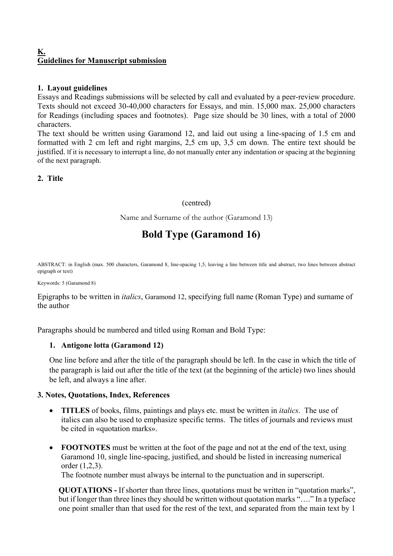## **K. Guidelines for Manuscript submission**

# **1. Layout guidelines**

Essays and Readings submissions will be selected by call and evaluated by a peer-review procedure. Texts should not exceed 30-40,000 characters for Essays, and min. 15,000 max. 25,000 characters for Readings (including spaces and footnotes). Page size should be 30 lines, with a total of 2000 characters.

The text should be written using Garamond 12, and laid out using a line-spacing of 1.5 cm and formatted with 2 cm left and right margins, 2,5 cm up, 3,5 cm down. The entire text should be justified. If it is necessary to interrupt a line, do not manually enter any indentation or spacing at the beginning of the next paragraph.

**2. Title** 

# (centred)

Name and Surname of the author (Garamond 13)

# **Bold Type (Garamond 16)**

ABSTRACT: in English (max. 500 characters, Garamond 8, line-spacing 1,5, leaving a line between title and abstract, two lines between abstract epigraph or text)

Keywords: 5 (Garamond 8)

Epigraphs to be written in *italics*, Garamond 12, specifying full name (Roman Type) and surname of the author

Paragraphs should be numbered and titled using Roman and Bold Type:

#### **1. Antigone lotta (Garamond 12)**

One line before and after the title of the paragraph should be left. In the case in which the title of the paragraph is laid out after the title of the text (at the beginning of the article) two lines should be left, and always a line after.

#### **3. Notes, Quotations, Index, References**

- **TITLES** of books, films, paintings and plays etc. must be written in *italics*. The use of italics can also be used to emphasize specific terms. The titles of journals and reviews must be cited in «quotation marks».
- **FOOTNOTES** must be written at the foot of the page and not at the end of the text, using Garamond 10, single line-spacing, justified, and should be listed in increasing numerical order (1,2,3).

The footnote number must always be internal to the punctuation and in superscript.

**QUOTATIONS -** If shorter than three lines, quotations must be written in "quotation marks", but if longer than three lines they should be written without quotation marks "…." In a typeface one point smaller than that used for the rest of the text, and separated from the main text by 1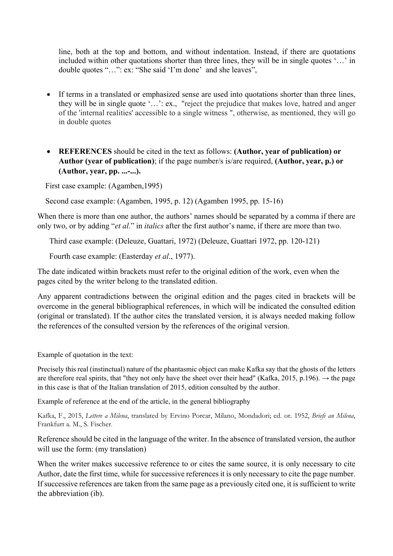line, both at the top and bottom, and without indentation. Instead, if there are quotations included within other quotations shorter than three lines, they will be in single quotes '…' in double quotes "…": ex: "She said 'I'm done' and she leaves",

- If terms in a translated or emphasized sense are used into quotations shorter than three lines, they will be in single quote '…': ex., "reject the prejudice that makes love, hatred and anger of the 'internal realities' accessible to a single witness ", otherwise, as mentioned, they will go in double quotes
- **REFERENCES** should be cited in the text as follows: **(Author, year of publication) or Author (year of publication)**; if the page number/s is/are required, **(Author, year, p.) or (Author, year, pp. ...-...).**

First case example: (Agamben,1995)

Second case example: (Agamben, 1995, p. 12) (Agamben 1995, pp. 15-16)

When there is more than one author, the authors' names should be separated by a comma if there are only two, or by adding "*et al*." in *italics* after the first author's name, if there are more than two.

Third case example: (Deleuze, Guattari, 1972) (Deleuze, Guattari 1972, pp. 120-121)

Fourth case example: (Easterday *et al*., 1977).

The date indicated within brackets must refer to the original edition of the work, even when the pages cited by the writer belong to the translated edition.

Any apparent contradictions between the original edition and the pages cited in brackets will be overcome in the general bibliographical references, in which will be indicated the consulted edition (original or translated). If the author cites the translated version, it is always needed making follow the references of the consulted version by the references of the original version.

Example of quotation in the text:

Precisely this real (instinctual) nature of the phantasmic object can make Kafka say that the ghosts of the letters are therefore real spirits, that "they not only have the sheet over their head" (Kafka, 2015, p.196).  $\rightarrow$  the page in this case is that of the Italian translation of 2015, edition consulted by the author.

Example of reference at the end of the article, in the general bibliography

Kafka, F., 2015, *Lettere a Milena*, translated by Ervino Porcar, Milano, Mondadori; ed. or. 1952, *Briefe an Milena*, Frankfurt a. M., S. Fischer.

Reference should be cited in the language of the writer. In the absence of translated version, the author will use the form: (my translation)

When the writer makes successive reference to or cites the same source, it is only necessary to cite Author, date the first time, while for successive references it is only necessary to cite the page number. If successive references are taken from the same page as a previously cited one, it is sufficient to write the abbreviation (ib).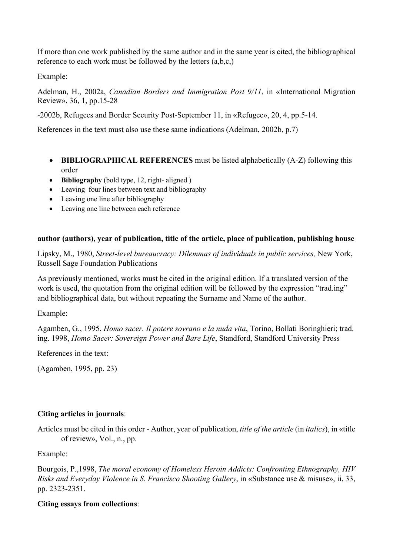If more than one work published by the same author and in the same year is cited, the bibliographical reference to each work must be followed by the letters (a,b,c,)

Example:

Adelman, H., 2002a, *Canadian Borders and Immigration Post 9/11*, in «International Migration Review», 36, 1, pp.15-28

-2002b, Refugees and Border Security Post-September 11, in «Refugee», 20, 4, pp.5-14.

References in the text must also use these same indications (Adelman, 2002b, p.7)

- **BIBLIOGRAPHICAL REFERENCES** must be listed alphabetically (A-Z) following this order
- **Bibliography** (bold type, 12, right- aligned )
- Leaving four lines between text and bibliography
- Leaving one line after bibliography
- Leaving one line between each reference

# **author (authors), year of publication, title of the article, place of publication, publishing house**

Lipsky, M., 1980, *Street-level bureaucracy: Dilemmas of individuals in public services,* New York, Russell Sage Foundation Publications

As previously mentioned, works must be cited in the original edition. If a translated version of the work is used, the quotation from the original edition will be followed by the expression "trad.ing" and bibliographical data, but without repeating the Surname and Name of the author.

Example:

Agamben, G., 1995, *Homo sacer. Il potere sovrano e la nuda vita*, Torino, Bollati Boringhieri; trad. ing. 1998, *Homo Sacer: Sovereign Power and Bare Life*, Standford, Standford University Press

References in the text:

(Agamben, 1995, pp. 23)

# **Citing articles in journals**:

Articles must be cited in this order - Author, year of publication, *title of the article* (in *italics*), in «title of review», Vol., n., pp.

Example:

Bourgois, P.,1998, *The moral economy of Homeless Heroin Addicts: Confronting Ethnography, HIV Risks and Everyday Violence in S. Francisco Shooting Gallery*, in «Substance use & misuse», ii, 33, pp. 2323-2351.

# **Citing essays from collections**: